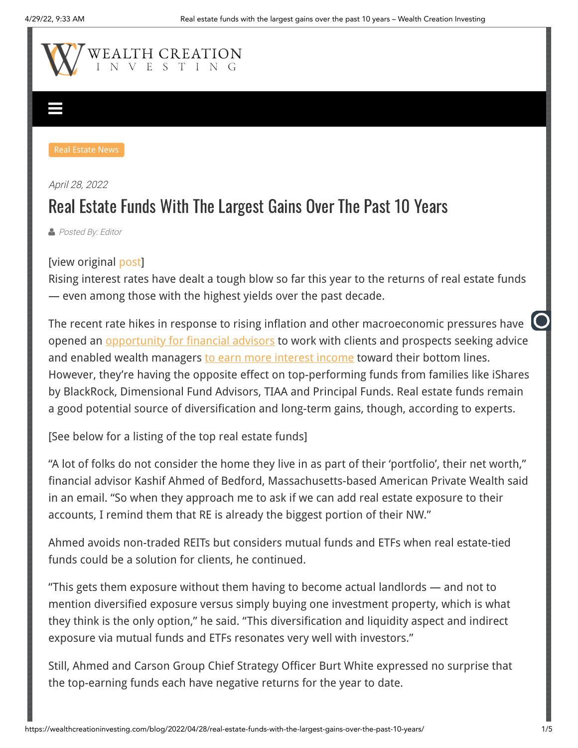

## [April 28, 2022](https://wealthcreationinvesting.com/blog/2022/04/28/real-estate-funds-with-the-largest-gains-over-the-past-10-years/) Real Estate Funds With The Largest Gains Over The Past 10 Years

**[Posted By: Editor](https://wealthcreationinvesting.com/blog/author/editor/)** 

## [view original [post\]](https://www.financial-planning.com/list/top-real-estate-funds-ranked-by-10-year-returns)

Rising interest rates have dealt a tough blow so far this year to the returns of real estate funds — even among those with the highest yields over the past decade.

The recent rate hikes in response to rising inflation and other macroeconomic pressures have opened an **opportunity for financial advisors** to work with clients and prospects seeking advice and enabled wealth managers [to earn more interest income](https://www.financial-planning.com/list/wells-fargo-wealth-management-reaping-profits-from-the-feds-rate-hikes) toward their bottom lines. However, they're having the opposite effect on top-performing funds from families like iShares by BlackRock, Dimensional Fund Advisors, TIAA and Principal Funds. Real estate funds remain a good potential source of diversification and long-term gains, though, according to experts.

[See below for a listing of the top real estate funds]

"A lot of folks do not consider the home they live in as part of their 'portfolio', their net worth," financial advisor Kashif Ahmed of Bedford, Massachusetts-based American Private Wealth said in an email. "So when they approach me to ask if we can add real estate exposure to their accounts, I remind them that RE is already the biggest portion of their NW."

Ahmed avoids non-traded REITs but considers mutual funds and ETFs when real estate-tied funds could be a solution for clients, he continued.

"This gets them exposure without them having to become actual landlords — and not to mention diversified exposure versus simply buying one investment property, which is what they think is the only option," he said. "This diversification and liquidity aspect and indirect exposure via mutual funds and ETFs resonates very well with investors."

Still, Ahmed and Carson Group Chief Strategy Officer Burt White expressed no surprise that the top-earning funds each have negative returns for the year to date.